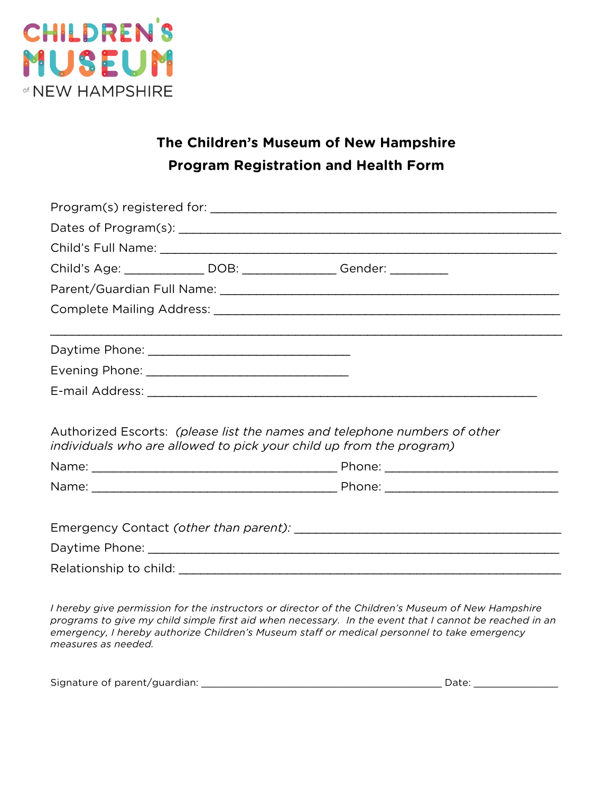

## **The Children's Museum of New Hampshire Program Registration and Health Form**

|  | Child's Age: _______________ DOB: _________________ Gender: __________                                                                           |
|--|--------------------------------------------------------------------------------------------------------------------------------------------------|
|  |                                                                                                                                                  |
|  |                                                                                                                                                  |
|  |                                                                                                                                                  |
|  |                                                                                                                                                  |
|  |                                                                                                                                                  |
|  |                                                                                                                                                  |
|  | Authorized Escorts: (please list the names and telephone numbers of other<br>individuals who are allowed to pick your child up from the program) |
|  |                                                                                                                                                  |
|  |                                                                                                                                                  |
|  |                                                                                                                                                  |
|  |                                                                                                                                                  |
|  |                                                                                                                                                  |
|  |                                                                                                                                                  |
|  |                                                                                                                                                  |

*I hereby give permission for the instructors or director of the Children's Museum of New Hampshire programs to give my child simple first aid when necessary. In the event that I cannot be reached in an emergency, I hereby authorize Children's Museum staff or medical personnel to take emergency measures as needed.*

| Signature of parent/guardian: |  |  |
|-------------------------------|--|--|
|-------------------------------|--|--|